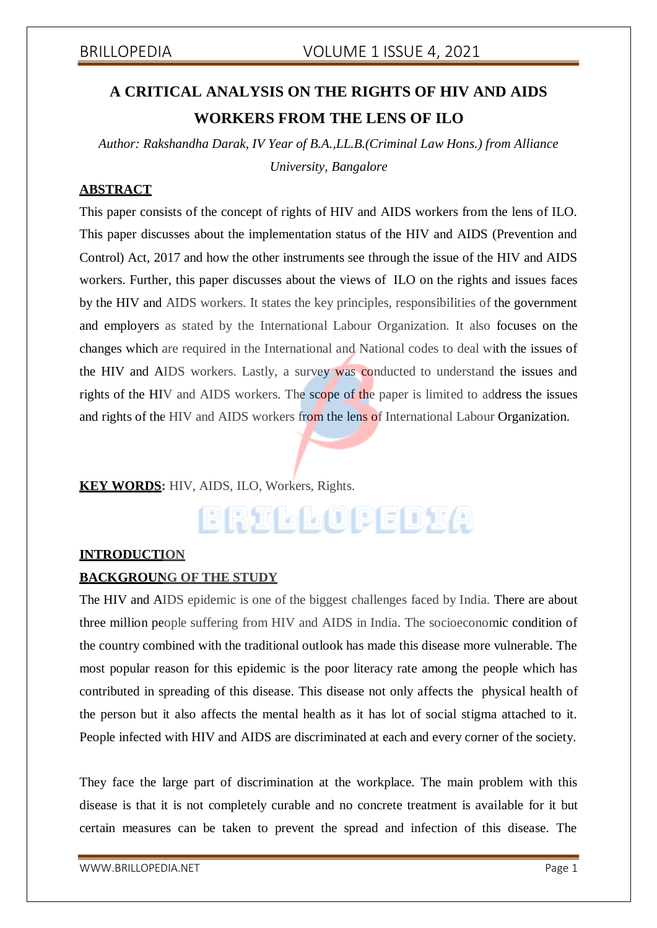# **A CRITICAL ANALYSIS ON THE RIGHTS OF HIV AND AIDS WORKERS FROM THE LENS OF ILO**

*Author: Rakshandha Darak, IV Year of B.A.,LL.B.(Criminal Law Hons.) from Alliance University, Bangalore*

# **ABSTRACT**

This paper consists of the concept of rights of HIV and AIDS workers from the lens of ILO. This paper discusses about the implementation status of the HIV and AIDS (Prevention and Control) Act, 2017 and how the other instruments see through the issue of the HIV and AIDS workers. Further, this paper discusses about the views of ILO on the rights and issues faces by the HIV and AIDS workers. It states the key principles, responsibilities of the government and employers as stated by the International Labour Organization. It also focuses on the changes which are required in the International and National codes to deal with the issues of the HIV and AIDS workers. Lastly, a survey was conducted to understand the issues and rights of the HIV and AIDS workers. The scope of the paper is limited to address the issues and rights of the HIV and AIDS workers from the lens of International Labour Organization.

# **KEY WORDS:** HIV, AIDS, ILO, Workers, Rights.

# BRILLOPEDIA

## **INTRODUCTION**

## **BACKGROUNG OF THE STUDY**

The HIV and AIDS epidemic is one of the biggest challenges faced by India. There are about three million people suffering from HIV and AIDS in India. The socioeconomic condition of the country combined with the traditional outlook has made this disease more vulnerable. The most popular reason for this epidemic is the poor literacy rate among the people which has contributed in spreading of this disease. This disease not only affects the physical health of the person but it also affects the mental health as it has lot of social stigma attached to it. People infected with HIV and AIDS are discriminated at each and every corner of the society.

They face the large part of discrimination at the workplace. The main problem with this disease is that it is not completely curable and no concrete treatment is available for it but certain measures can be taken to prevent the spread and infection of this disease. The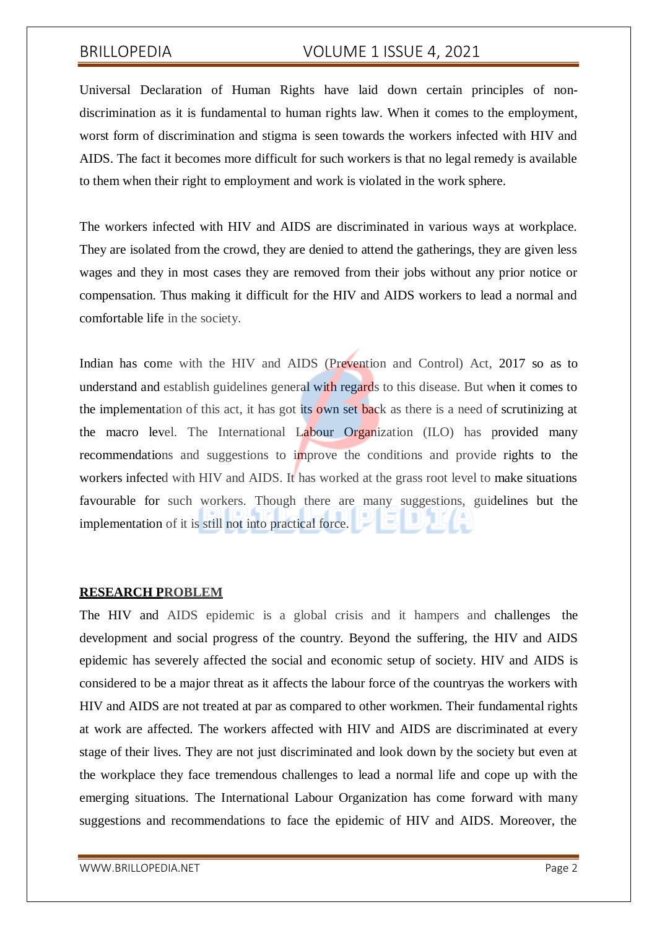Universal Declaration of Human Rights have laid down certain principles of nondiscrimination as it is fundamental to human rights law. When it comes to the employment, worst form of discrimination and stigma is seen towards the workers infected with HIV and AIDS. The fact it becomes more difficult for such workers is that no legal remedy is available to them when their right to employment and work is violated in the work sphere.

The workers infected with HIV and AIDS are discriminated in various ways at workplace. They are isolated from the crowd, they are denied to attend the gatherings, they are given less wages and they in most cases they are removed from their jobs without any prior notice or compensation. Thus making it difficult for the HIV and AIDS workers to lead a normal and comfortable life in the society.

Indian has come with the HIV and AIDS (Prevention and Control) Act, 2017 so as to understand and establish guidelines general with regards to this disease. But when it comes to the implementation of this act, it has got its own set back as there is a need of scrutinizing at the macro level. The International Labour Organization (ILO) has provided many recommendations and suggestions to improve the conditions and provide rights to the workers infected with HIV and AIDS. It has worked at the grass root level to make situations favourable for such workers. Though there are many suggestions, guidelines but the implementation of it is still not into practical force.

## **RESEARCH PROBLEM**

The HIV and AIDS epidemic is a global crisis and it hampers and challenges the development and social progress of the country. Beyond the suffering, the HIV and AIDS epidemic has severely affected the social and economic setup of society. HIV and AIDS is considered to be a major threat as it affects the labour force of the countryas the workers with HIV and AIDS are not treated at par as compared to other workmen. Their fundamental rights at work are affected. The workers affected with HIV and AIDS are discriminated at every stage of their lives. They are not just discriminated and look down by the society but even at the workplace they face tremendous challenges to lead a normal life and cope up with the emerging situations. The International Labour Organization has come forward with many suggestions and recommendations to face the epidemic of HIV and AIDS. Moreover, the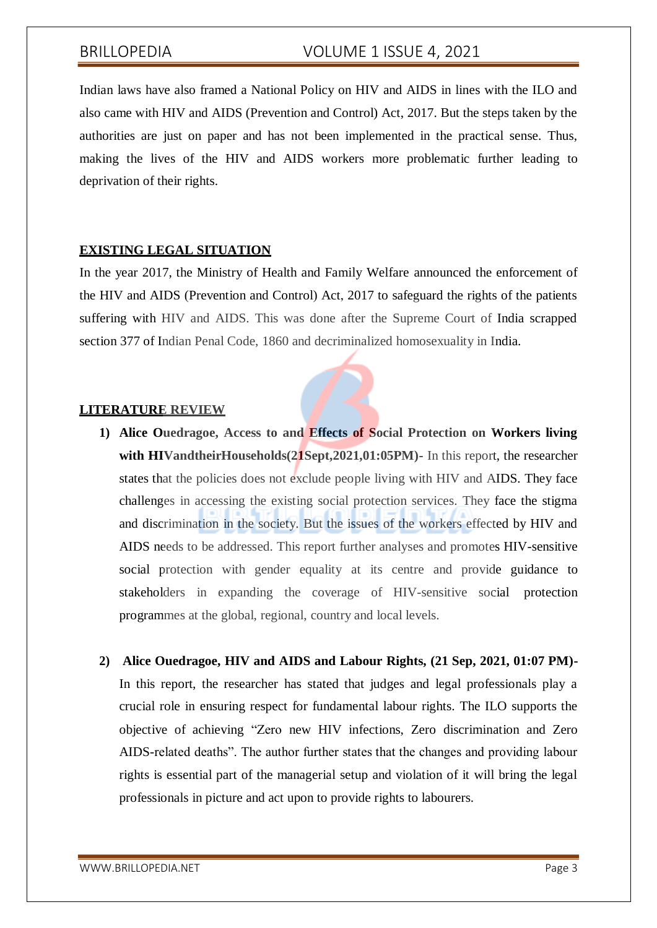Indian laws have also framed a National Policy on HIV and AIDS in lines with the ILO and also came with HIV and AIDS (Prevention and Control) Act, 2017. But the steps taken by the authorities are just on paper and has not been implemented in the practical sense. Thus, making the lives of the HIV and AIDS workers more problematic further leading to deprivation of their rights.

## **EXISTING LEGAL SITUATION**

In the year 2017, the Ministry of Health and Family Welfare announced the enforcement of the HIV and AIDS (Prevention and Control) Act, 2017 to safeguard the rights of the patients suffering with HIV and AIDS. This was done after the Supreme Court of India scrapped section 377 of Indian Penal Code, 1860 and decriminalized homosexuality in India.

## **LITERATURE REVIEW**

- **1) Alice Ouedragoe, Access to and Effects of Social Protection on Workers living with HIVandtheirHouseholds(21Sept,2021,01:05PM)-** In this report, the researcher states that the policies does not exclude people living with HIV and AIDS. They face challenges in accessing the existing social protection services. They face the stigma and discrimination in the society. But the issues of the workers effected by HIV and AIDS needs to be addressed. This report further analyses and promotes HIV-sensitive social protection with gender equality at its centre and provide guidance to stakeholders in expanding the coverage of HIV-sensitive social protection programmes at the global, regional, country and local levels.
- **2) Alice Ouedragoe, HIV and AIDS and Labour Rights, (21 Sep, 2021, 01:07 PM)-** In this report, the researcher has stated that judges and legal professionals play a crucial role in ensuring respect for fundamental labour rights. The ILO supports the objective of achieving "Zero new HIV infections, Zero discrimination and Zero AIDS-related deaths". The author further states that the changes and providing labour rights is essential part of the managerial setup and violation of it will bring the legal professionals in picture and act upon to provide rights to labourers.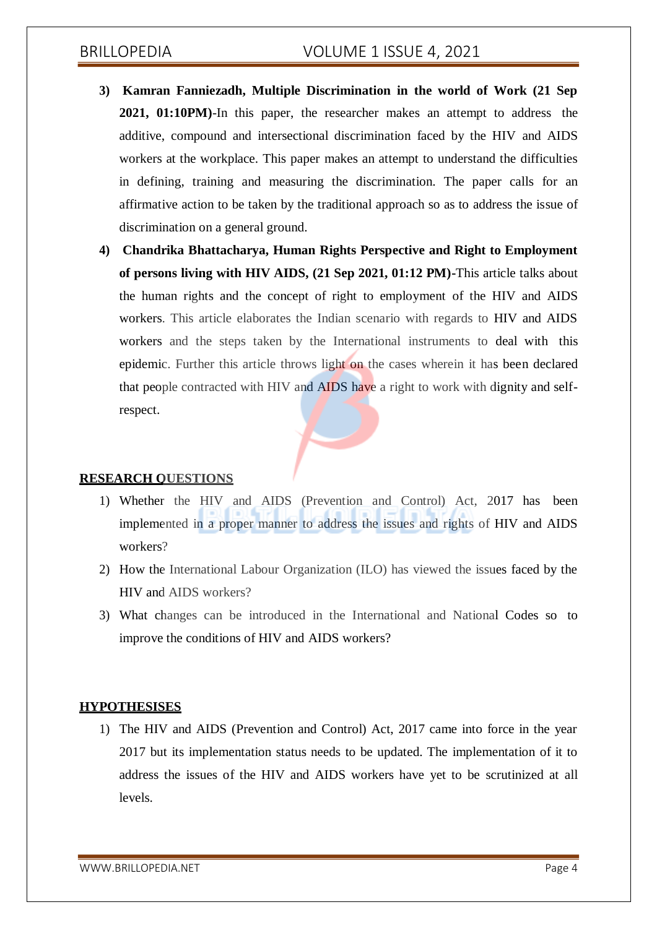- **3) Kamran Fanniezadh, Multiple Discrimination in the world of Work (21 Sep 2021, 01:10PM)**-In this paper, the researcher makes an attempt to address the additive, compound and intersectional discrimination faced by the HIV and AIDS workers at the workplace. This paper makes an attempt to understand the difficulties in defining, training and measuring the discrimination. The paper calls for an affirmative action to be taken by the traditional approach so as to address the issue of discrimination on a general ground.
- **4) Chandrika Bhattacharya, Human Rights Perspective and Right to Employment of persons living with HIV AIDS, (21 Sep 2021, 01:12 PM)-**This article talks about the human rights and the concept of right to employment of the HIV and AIDS workers. This article elaborates the Indian scenario with regards to HIV and AIDS workers and the steps taken by the International instruments to deal with this epidemic. Further this article throws light on the cases wherein it has been declared that people contracted with HIV and AIDS have a right to work with dignity and selfrespect.

## **RESEARCH QUESTIONS**

- 1) Whether the HIV and AIDS (Prevention and Control) Act, 2017 has been implemented in a proper manner to address the issues and rights of HIV and AIDS workers?
- 2) How the International Labour Organization (ILO) has viewed the issues faced by the HIV and AIDS workers?
- 3) What changes can be introduced in the International and National Codes so to improve the conditions of HIV and AIDS workers?

## **HYPOTHESISES**

1) The HIV and AIDS (Prevention and Control) Act, 2017 came into force in the year 2017 but its implementation status needs to be updated. The implementation of it to address the issues of the HIV and AIDS workers have yet to be scrutinized at all levels.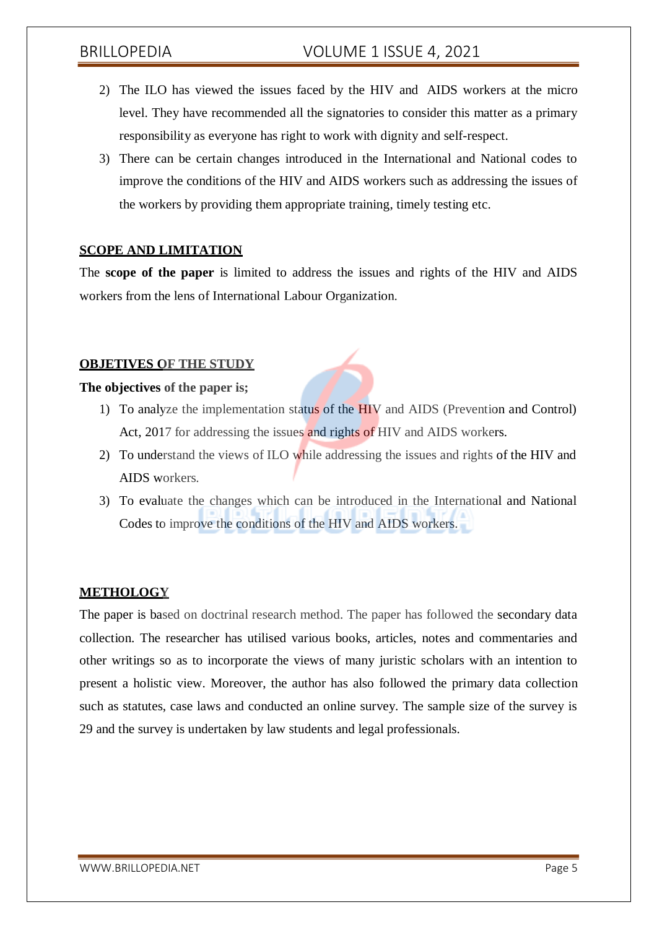- 2) The ILO has viewed the issues faced by the HIV and AIDS workers at the micro level. They have recommended all the signatories to consider this matter as a primary responsibility as everyone has right to work with dignity and self-respect.
- 3) There can be certain changes introduced in the International and National codes to improve the conditions of the HIV and AIDS workers such as addressing the issues of the workers by providing them appropriate training, timely testing etc.

## **SCOPE AND LIMITATION**

The **scope of the paper** is limited to address the issues and rights of the HIV and AIDS workers from the lens of International Labour Organization.

### **OBJETIVES OF THE STUDY**

### **The objectives of the paper is;**

- 1) To analyze the implementation status of the HIV and AIDS (Prevention and Control) Act, 2017 for addressing the issues and rights of HIV and AIDS workers.
- 2) To understand the views of ILO while addressing the issues and rights of the HIV and AIDS workers.
- 3) To evaluate the changes which can be introduced in the International and National Codes to improve the conditions of the HIV and AIDS workers.

## **METHOLOGY**

The paper is based on doctrinal research method. The paper has followed the secondary data collection. The researcher has utilised various books, articles, notes and commentaries and other writings so as to incorporate the views of many juristic scholars with an intention to present a holistic view. Moreover, the author has also followed the primary data collection such as statutes, case laws and conducted an online survey. The sample size of the survey is 29 and the survey is undertaken by law students and legal professionals.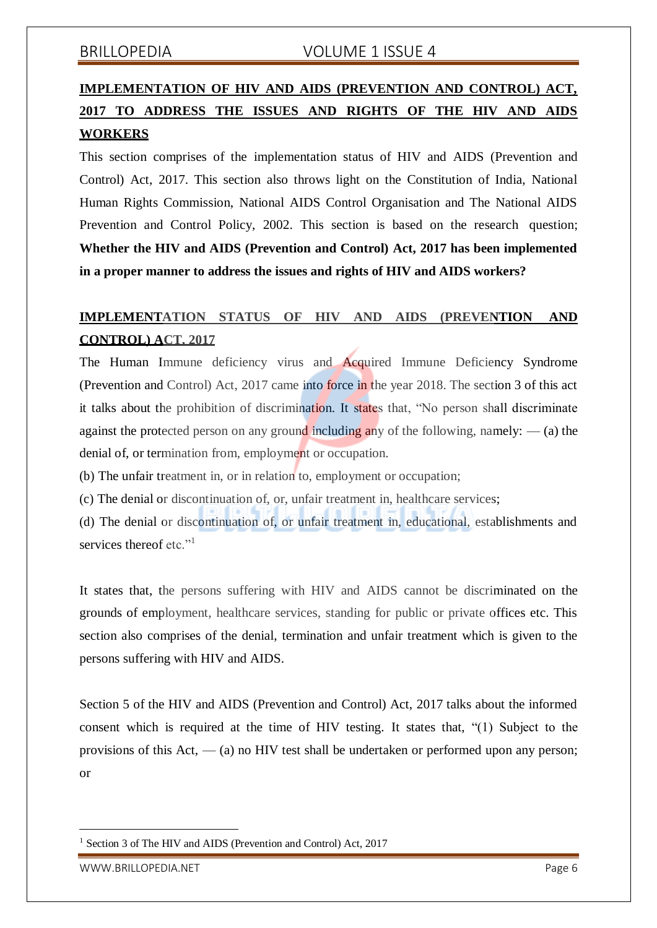# **IMPLEMENTATION OF HIV AND AIDS (PREVENTION AND CONTROL) ACT, 2017 TO ADDRESS THE ISSUES AND RIGHTS OF THE HIV AND AIDS WORKERS**

This section comprises of the implementation status of HIV and AIDS (Prevention and Control) Act, 2017. This section also throws light on the Constitution of India, National Human Rights Commission, National AIDS Control Organisation and The National AIDS Prevention and Control Policy, 2002. This section is based on the research question; **Whether the HIV and AIDS (Prevention and Control) Act, 2017 has been implemented in a proper manner to address the issues and rights of HIV and AIDS workers?**

# **IMPLEMENTATION STATUS OF HIV AND AIDS (PREVENTION AND CONTROL) ACT, 2017**

The Human Immune deficiency virus and Acquired Immune Deficiency Syndrome (Prevention and Control) Act, 2017 came into force in the year 2018. The section 3 of this act it talks about the prohibition of discrimination. It states that, "No person shall discriminate against the protected person on any ground including any of the following, namely:  $\frac{1}{2}$  (a) the denial of, or termination from, employment or occupation.

(b) The unfair treatment in, or in relation to, employment or occupation;

(c) The denial or discontinuation of, or, unfair treatment in, healthcare services;

(d) The denial or discontinuation of, or unfair treatment in, educational, establishments and services thereof etc."<sup>1</sup>

It states that, the persons suffering with HIV and AIDS cannot be discriminated on the grounds of employment, healthcare services, standing for public or private offices etc. This section also comprises of the denial, termination and unfair treatment which is given to the persons suffering with HIV and AIDS.

Section 5 of the HIV and AIDS (Prevention and Control) Act, 2017 talks about the informed consent which is required at the time of HIV testing. It states that, "(1) Subject to the provisions of this Act,  $-$  (a) no HIV test shall be undertaken or performed upon any person; or

Section 3 of The HIV and AIDS (Prevention and Control) Act, 2017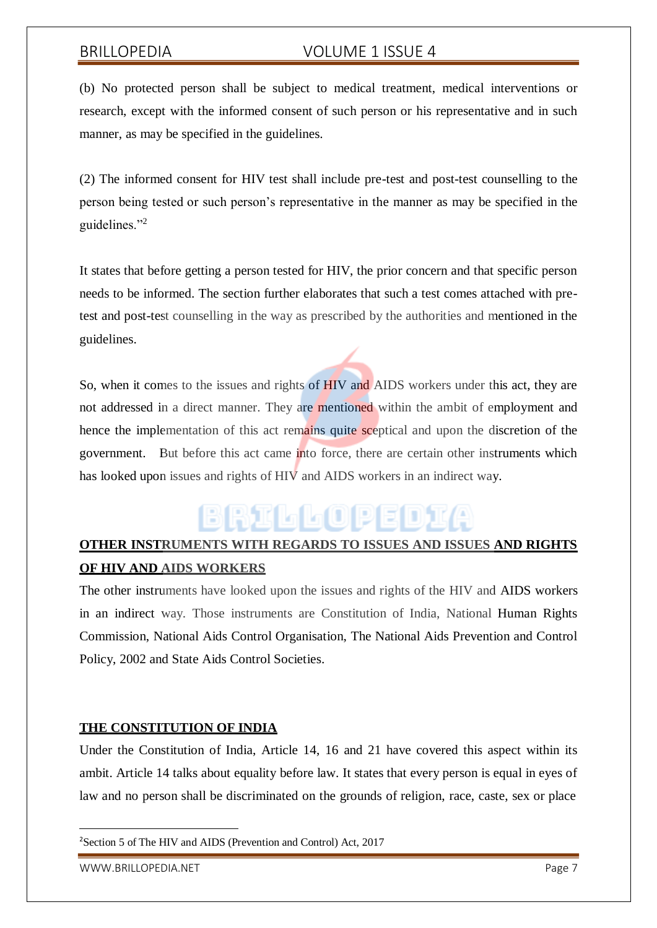(b) No protected person shall be subject to medical treatment, medical interventions or research, except with the informed consent of such person or his representative and in such manner, as may be specified in the guidelines.

(2) The informed consent for HIV test shall include pre-test and post-test counselling to the person being tested or such person's representative in the manner as may be specified in the guidelines."<sup>2</sup>

It states that before getting a person tested for HIV, the prior concern and that specific person needs to be informed. The section further elaborates that such a test comes attached with pretest and post-test counselling in the way as prescribed by the authorities and mentioned in the guidelines.

So, when it comes to the issues and rights of HIV and AIDS workers under this act, they are not addressed in a direct manner. They are mentioned within the ambit of employment and hence the implementation of this act remains quite sceptical and upon the discretion of the government. But before this act came into force, there are certain other instruments which has looked upon issues and rights of HIV and AIDS workers in an indirect way.

# BRILLOPEDIA

# **OTHER INSTRUMENTS WITH REGARDS TO ISSUES AND ISSUES AND RIGHTS OF HIV AND AIDS WORKERS**

The other instruments have looked upon the issues and rights of the HIV and AIDS workers in an indirect way. Those instruments are Constitution of India, National Human Rights Commission, National Aids Control Organisation, The National Aids Prevention and Control Policy, 2002 and State Aids Control Societies.

## **THE CONSTITUTION OF INDIA**

Under the Constitution of India, Article 14, 16 and 21 have covered this aspect within its ambit. Article 14 talks about equality before law. It states that every person is equal in eyes of law and no person shall be discriminated on the grounds of religion, race, caste, sex or place

<sup>2</sup>Section 5 of The HIV and AIDS (Prevention and Control) Act, 2017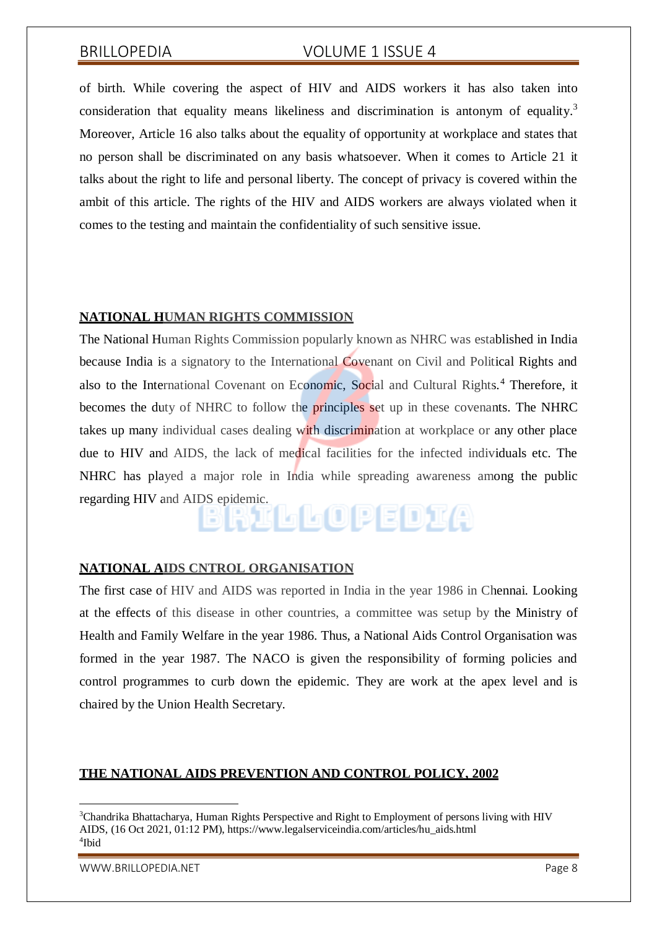of birth. While covering the aspect of HIV and AIDS workers it has also taken into consideration that equality means likeliness and discrimination is antonym of equality.<sup>3</sup> Moreover, Article 16 also talks about the equality of opportunity at workplace and states that no person shall be discriminated on any basis whatsoever. When it comes to Article 21 it talks about the right to life and personal liberty. The concept of privacy is covered within the ambit of this article. The rights of the HIV and AIDS workers are always violated when it comes to the testing and maintain the confidentiality of such sensitive issue.

### **NATIONAL HUMAN RIGHTS COMMISSION**

The National Human Rights Commission popularly known as NHRC was established in India because India is a signatory to the International Covenant on Civil and Political Rights and also to the International Covenant on Economic, Social and Cultural Rights.<sup>4</sup> Therefore, it becomes the duty of NHRC to follow the principles set up in these covenants. The NHRC takes up many individual cases dealing with discrimination at workplace or any other place due to HIV and AIDS, the lack of medical facilities for the infected individuals etc. The NHRC has played a major role in India while spreading awareness among the public regarding HIV and AIDS epidemic.

## **NATIONAL AIDS CNTROL ORGANISATION**

The first case of HIV and AIDS was reported in India in the year 1986 in Chennai. Looking at the effects of this disease in other countries, a committee was setup by the Ministry of Health and Family Welfare in the year 1986. Thus, a National Aids Control Organisation was formed in the year 1987. The NACO is given the responsibility of forming policies and control programmes to curb down the epidemic. They are work at the apex level and is chaired by the Union Health Secretary.

### **THE NATIONAL AIDS PREVENTION AND CONTROL POLICY, 2002**

[WWW.BRILLOPEDIA.NET](http://www.brillopedia.net/) Page 8

<sup>&</sup>lt;sup>3</sup>Chandrika Bhattacharya, Human Rights Perspective and Right to Employment of persons living with HIV AIDS, (16 Oct 2021, 01:12 PM), https:/[/www.legalserviceindia.com/articles/hu\\_aids.html](http://www.legalserviceindia.com/articles/hu_aids.html) 4 Ibid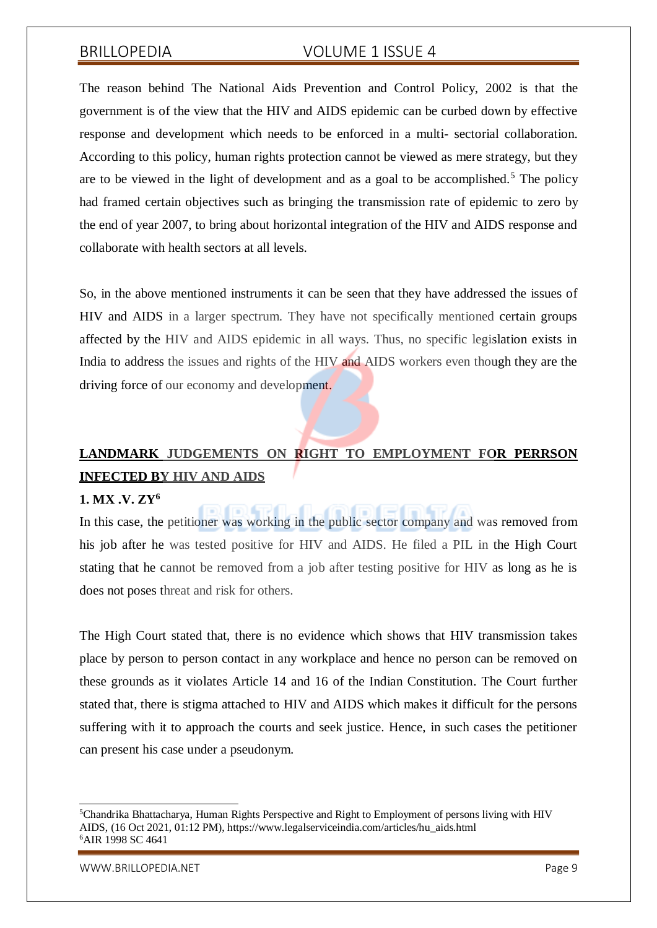The reason behind The National Aids Prevention and Control Policy, 2002 is that the government is of the view that the HIV and AIDS epidemic can be curbed down by effective response and development which needs to be enforced in a multi- sectorial collaboration. According to this policy, human rights protection cannot be viewed as mere strategy, but they are to be viewed in the light of development and as a goal to be accomplished.<sup>5</sup> The policy had framed certain objectives such as bringing the transmission rate of epidemic to zero by the end of year 2007, to bring about horizontal integration of the HIV and AIDS response and collaborate with health sectors at all levels.

So, in the above mentioned instruments it can be seen that they have addressed the issues of HIV and AIDS in a larger spectrum. They have not specifically mentioned certain groups affected by the HIV and AIDS epidemic in all ways. Thus, no specific legislation exists in India to address the issues and rights of the HIV and AIDS workers even though they are the driving force of our economy and development.

# **LANDMARK JUDGEMENTS ON RIGHT TO EMPLOYMENT FOR PERRSON INFECTED BY HIV AND AIDS**

同同显示

## **1. MX .V. ZY<sup>6</sup>**

In this case, the petitioner was working in the public sector company and was removed from his job after he was tested positive for HIV and AIDS. He filed a PIL in the High Court stating that he cannot be removed from a job after testing positive for HIV as long as he is does not poses threat and risk for others.

The High Court stated that, there is no evidence which shows that HIV transmission takes place by person to person contact in any workplace and hence no person can be removed on these grounds as it violates Article 14 and 16 of the Indian Constitution. The Court further stated that, there is stigma attached to HIV and AIDS which makes it difficult for the persons suffering with it to approach the courts and seek justice. Hence, in such cases the petitioner can present his case under a pseudonym.

<sup>5</sup>Chandrika Bhattacharya, Human Rights Perspective and Right to Employment of persons living with HIV AIDS, (16 Oct 2021, 01:12 PM), https:/[/www.legalserviceindia.com/articles/hu\\_aids.html](http://www.legalserviceindia.com/articles/hu_aids.html) <sup>6</sup>AIR 1998 SC 4641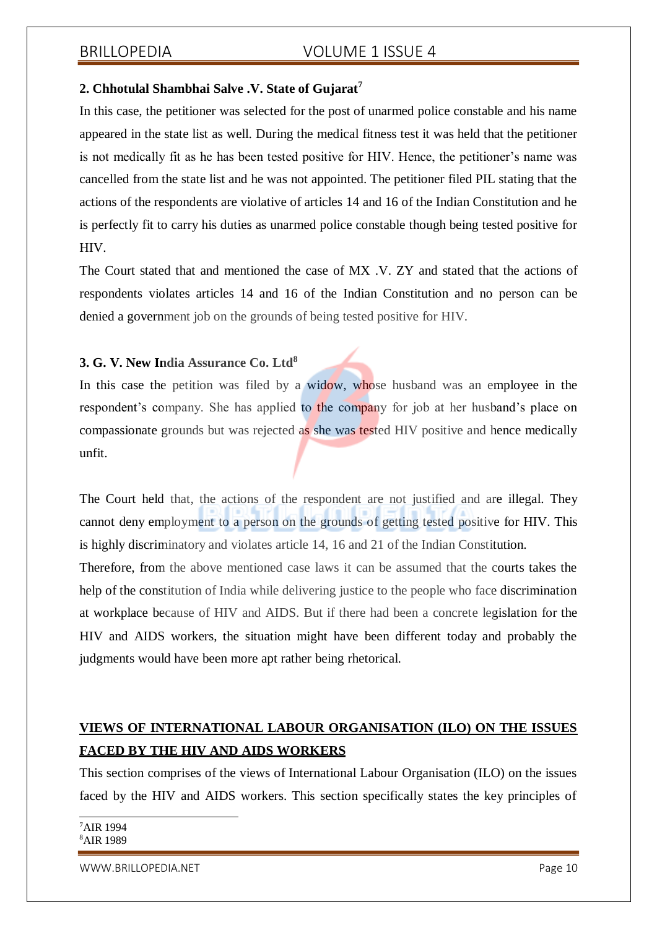### **2. Chhotulal Shambhai Salve .V. State of Gujarat<sup>7</sup>**

In this case, the petitioner was selected for the post of unarmed police constable and his name appeared in the state list as well. During the medical fitness test it was held that the petitioner is not medically fit as he has been tested positive for HIV. Hence, the petitioner's name was cancelled from the state list and he was not appointed. The petitioner filed PIL stating that the actions of the respondents are violative of articles 14 and 16 of the Indian Constitution and he is perfectly fit to carry his duties as unarmed police constable though being tested positive for HIV.

The Court stated that and mentioned the case of MX .V. ZY and stated that the actions of respondents violates articles 14 and 16 of the Indian Constitution and no person can be denied a government job on the grounds of being tested positive for HIV.

### **3. G. V. New India Assurance Co. Ltd<sup>8</sup>**

In this case the petition was filed by a widow, whose husband was an employee in the respondent's company. She has applied to the company for job at her husband's place on compassionate grounds but was rejected as she was tested HIV positive and hence medically unfit.

The Court held that, the actions of the respondent are not justified and are illegal. They cannot deny employment to a person on the grounds of getting tested positive for HIV. This is highly discriminatory and violates article 14, 16 and 21 of the Indian Constitution.

Therefore, from the above mentioned case laws it can be assumed that the courts takes the help of the constitution of India while delivering justice to the people who face discrimination at workplace because of HIV and AIDS. But if there had been a concrete legislation for the HIV and AIDS workers, the situation might have been different today and probably the judgments would have been more apt rather being rhetorical.

# **VIEWS OF INTERNATIONAL LABOUR ORGANISATION (ILO) ON THE ISSUES FACED BY THE HIV AND AIDS WORKERS**

This section comprises of the views of International Labour Organisation (ILO) on the issues faced by the HIV and AIDS workers. This section specifically states the key principles of

<sup>7</sup>AIR 1994 <sup>8</sup>AIR 1989

[WWW.BRILLOPEDIA.NET](http://www.brillopedia.net/) NET A SAN A SERVER AND THE PAGE 10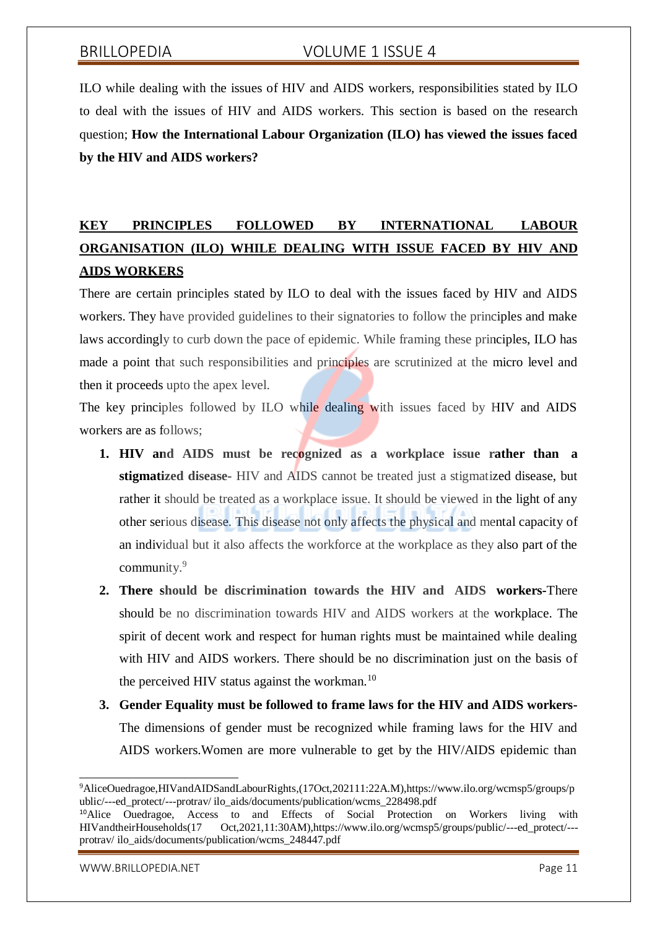ILO while dealing with the issues of HIV and AIDS workers, responsibilities stated by ILO to deal with the issues of HIV and AIDS workers. This section is based on the research question; **How the International Labour Organization (ILO) has viewed the issues faced by the HIV and AIDS workers?**

# **KEY PRINCIPLES FOLLOWED BY INTERNATIONAL LABOUR ORGANISATION (ILO) WHILE DEALING WITH ISSUE FACED BY HIV AND AIDS WORKERS**

There are certain principles stated by ILO to deal with the issues faced by HIV and AIDS workers. They have provided guidelines to their signatories to follow the principles and make laws accordingly to curb down the pace of epidemic. While framing these principles, ILO has made a point that such responsibilities and principles are scrutinized at the micro level and then it proceeds upto the apex level.

The key principles followed by ILO while dealing with issues faced by HIV and AIDS workers are as follows;

- **1. HIV and AIDS must be recognized as a workplace issue rather than a stigmatized disease-** HIV and AIDS cannot be treated just a stigmatized disease, but rather it should be treated as a workplace issue. It should be viewed in the light of any other serious disease. This disease not only affects the physical and mental capacity of an individual but it also affects the workforce at the workplace as they also part of the community.<sup>9</sup>
- **2. There should be discrimination towards the HIV and AIDS workers-**There should be no discrimination towards HIV and AIDS workers at the workplace. The spirit of decent work and respect for human rights must be maintained while dealing with HIV and AIDS workers. There should be no discrimination just on the basis of the perceived HIV status against the workman.<sup>10</sup>
- **3. Gender Equality must be followed to frame laws for the HIV and AIDS workers-**The dimensions of gender must be recognized while framing laws for the HIV and AIDS workers.Women are more vulnerable to get by the HIV/AIDS epidemic than

[WWW.BRILLOPEDIA.NET](http://www.brillopedia.net/) NET A SALE AND THE SERVICE OF A SALE AND THE PAGE 11

<sup>9</sup>AliceOuedragoe,HIVandAIDSandLabourRights,(17Oct,202111:22A.M),https:/[/www.ilo.org/wcmsp5/groups/p](http://www.ilo.org/wcmsp5/groups/p) ublic/---ed\_protect/---protrav/ ilo\_aids/documents/publication/wcms\_228498.pdf

<sup>&</sup>lt;sup>10</sup>Alice Ouedragoe, Access to and Effects of Social Protection on Workers living with HIVandtheirHouseholds(17 Oct,2021,11:30AM),https:[//www.ilo.org/wcmsp5/groups/public/---ed\\_protect/--](http://www.ilo.org/wcmsp5/groups/public/---ed_protect/---) protrav/ ilo\_aids/documents/publication/wcms\_248447.pdf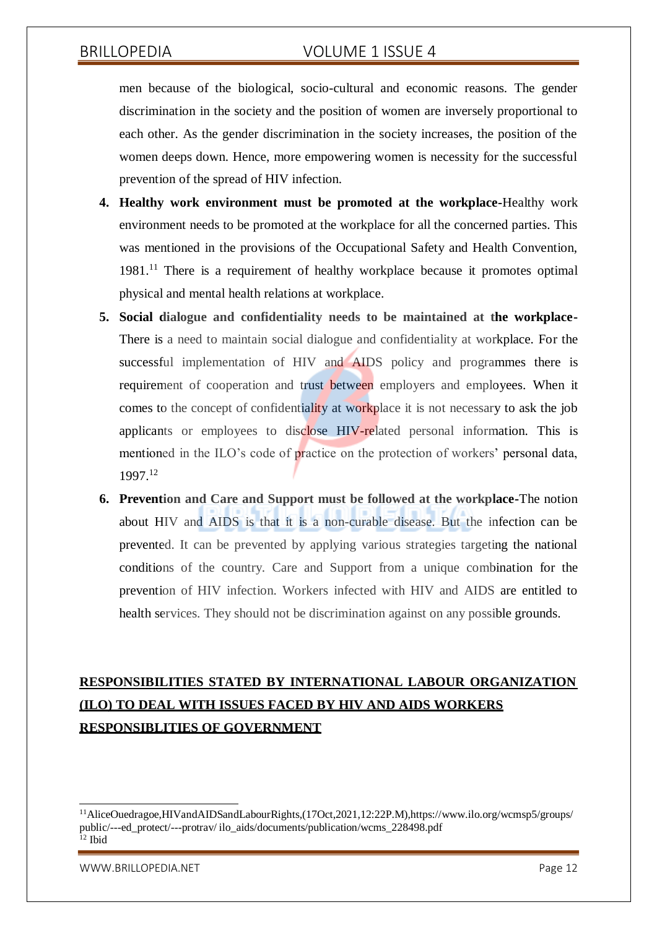men because of the biological, socio-cultural and economic reasons. The gender discrimination in the society and the position of women are inversely proportional to each other. As the gender discrimination in the society increases, the position of the women deeps down. Hence, more empowering women is necessity for the successful prevention of the spread of HIV infection.

- **4. Healthy work environment must be promoted at the workplace-**Healthy work environment needs to be promoted at the workplace for all the concerned parties. This was mentioned in the provisions of the Occupational Safety and Health Convention, 1981.<sup>11</sup> There is a requirement of healthy workplace because it promotes optimal physical and mental health relations at workplace.
- **5. Social dialogue and confidentiality needs to be maintained at the workplace-**There is a need to maintain social dialogue and confidentiality at workplace. For the successful implementation of HIV and AIDS policy and programmes there is requirement of cooperation and trust between employers and employees. When it comes to the concept of confidentiality at workplace it is not necessary to ask the job applicants or employees to disclose HIV-related personal information. This is mentioned in the ILO's code of practice on the protection of workers' personal data, 1997.<sup>12</sup>
- **6. Prevention and Care and Support must be followed at the workplace-**The notion about HIV and AIDS is that it is a non-curable disease. But the infection can be prevented. It can be prevented by applying various strategies targeting the national conditions of the country. Care and Support from a unique combination for the prevention of HIV infection. Workers infected with HIV and AIDS are entitled to health services. They should not be discrimination against on any possible grounds.

# **RESPONSIBILITIES STATED BY INTERNATIONAL LABOUR ORGANIZATION (ILO) TO DEAL WITH ISSUES FACED BY HIV AND AIDS WORKERS RESPONSIBLITIES OF GOVERNMENT**

[WWW.BRILLOPEDIA.NET](http://www.brillopedia.net/) And the state of the state of the state of the state of the state of the state of the state of the state of the state of the state of the state of the state of the state of the state of the state of the

<sup>11</sup>AliceOuedragoe,HIVandAIDSandLabourRights,(17Oct,2021,12:22P.M),https:/[/www.ilo.org/wcmsp5/groups/](http://www.ilo.org/wcmsp5/groups/) public/---ed\_protect/---protrav/ ilo\_aids/documents/publication/wcms\_228498.pdf  $12$  Ibid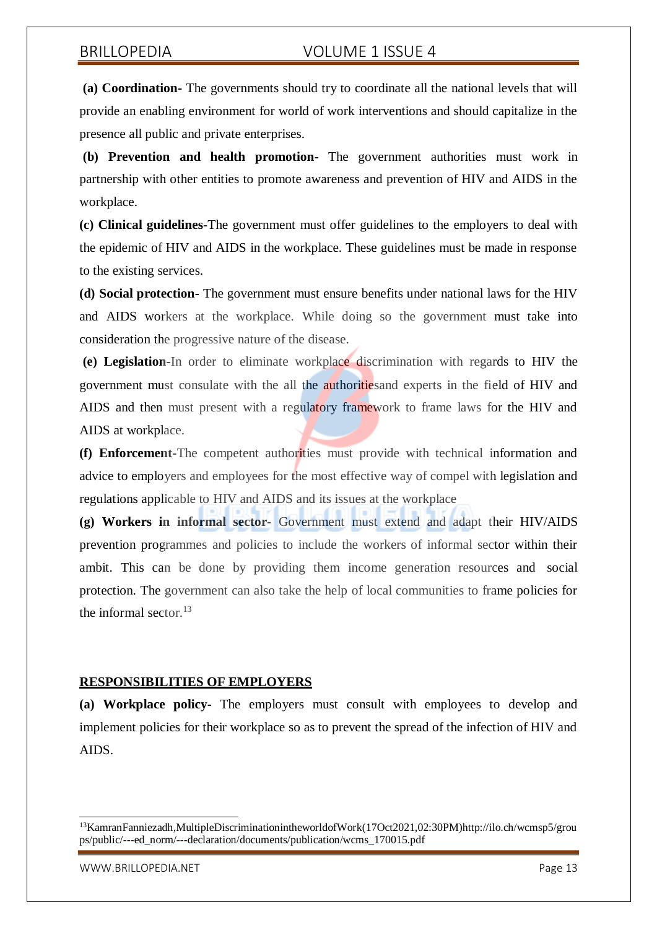**(a) Coordination-** The governments should try to coordinate all the national levels that will provide an enabling environment for world of work interventions and should capitalize in the presence all public and private enterprises.

**(b) Prevention and health promotion-** The government authorities must work in partnership with other entities to promote awareness and prevention of HIV and AIDS in the workplace.

**(c) Clinical guidelines**-The government must offer guidelines to the employers to deal with the epidemic of HIV and AIDS in the workplace. These guidelines must be made in response to the existing services.

**(d) Social protection-** The government must ensure benefits under national laws for the HIV and AIDS workers at the workplace. While doing so the government must take into consideration the progressive nature of the disease.

**(e) Legislation-**In order to eliminate workplace discrimination with regards to HIV the government must consulate with the all the authoritiesand experts in the field of HIV and AIDS and then must present with a regulatory framework to frame laws for the HIV and AIDS at workplace.

**(f) Enforcement-**The competent authorities must provide with technical information and advice to employers and employees for the most effective way of compel with legislation and regulations applicable to HIV and AIDS and its issues at the workplace

**(g) Workers in informal sector-** Government must extend and adapt their HIV/AIDS prevention programmes and policies to include the workers of informal sector within their ambit. This can be done by providing them income generation resources and social protection. The government can also take the help of local communities to frame policies for the informal sector.<sup>13</sup>

## **RESPONSIBILITIES OF EMPLOYERS**

**(a) Workplace policy-** The employers must consult with employees to develop and implement policies for their workplace so as to prevent the spread of the infection of HIV and AIDS.

<sup>13</sup>KamranFanniezadh,MultipleDiscriminationintheworldofWork(17Oct2021,02:30PM[\)http://ilo.ch/wcmsp5/grou](http://ilo.ch/wcmsp5/grou) ps/public/---ed\_norm/---declaration/documents/publication/wcms\_170015.pdf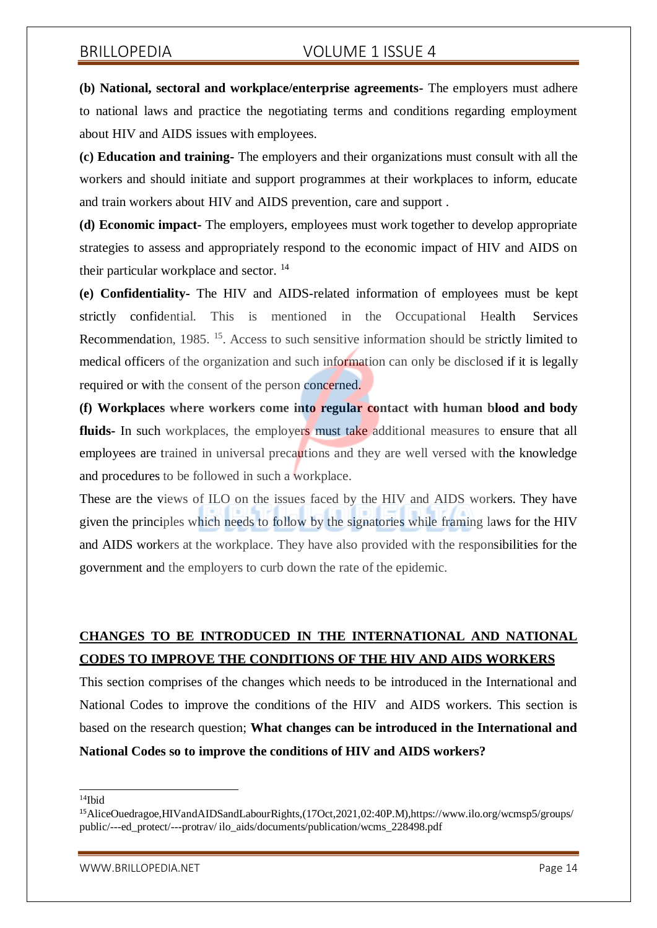**(b) National, sectoral and workplace/enterprise agreements-** The employers must adhere to national laws and practice the negotiating terms and conditions regarding employment about HIV and AIDS issues with employees.

**(c) Education and training-** The employers and their organizations must consult with all the workers and should initiate and support programmes at their workplaces to inform, educate and train workers about HIV and AIDS prevention, care and support .

**(d) Economic impact-** The employers, employees must work together to develop appropriate strategies to assess and appropriately respond to the economic impact of HIV and AIDS on their particular workplace and sector.<sup>14</sup>

**(e) Confidentiality-** The HIV and AIDS-related information of employees must be kept strictly confidential. This is mentioned in the Occupational Health Services Recommendation, 1985. <sup>15</sup>. Access to such sensitive information should be strictly limited to medical officers of the organization and such information can only be disclosed if it is legally required or with the consent of the person concerned.

**(f) Workplaces where workers come into regular contact with human blood and body fluids-** In such workplaces, the employers must take additional measures to ensure that all employees are trained in universal precautions and they are well versed with the knowledge and procedures to be followed in such a workplace.

These are the views of ILO on the issues faced by the HIV and AIDS workers. They have given the principles which needs to follow by the signatories while framing laws for the HIV and AIDS workers at the workplace. They have also provided with the responsibilities for the government and the employers to curb down the rate of the epidemic.

# **CHANGES TO BE INTRODUCED IN THE INTERNATIONAL AND NATIONAL CODES TO IMPROVE THE CONDITIONS OF THE HIV AND AIDS WORKERS**

This section comprises of the changes which needs to be introduced in the International and National Codes to improve the conditions of the HIV and AIDS workers. This section is based on the research question; **What changes can be introduced in the International and National Codes so to improve the conditions of HIV and AIDS workers?**

<sup>14</sup>Ibid

<sup>15</sup>AliceOuedragoe,HIVandAIDSandLabourRights,(17Oct,2021,02:40P.M),https:/[/www.ilo.org/wcmsp5/groups/](http://www.ilo.org/wcmsp5/groups/) public/---ed\_protect/---protrav/ ilo\_aids/documents/publication/wcms\_228498.pdf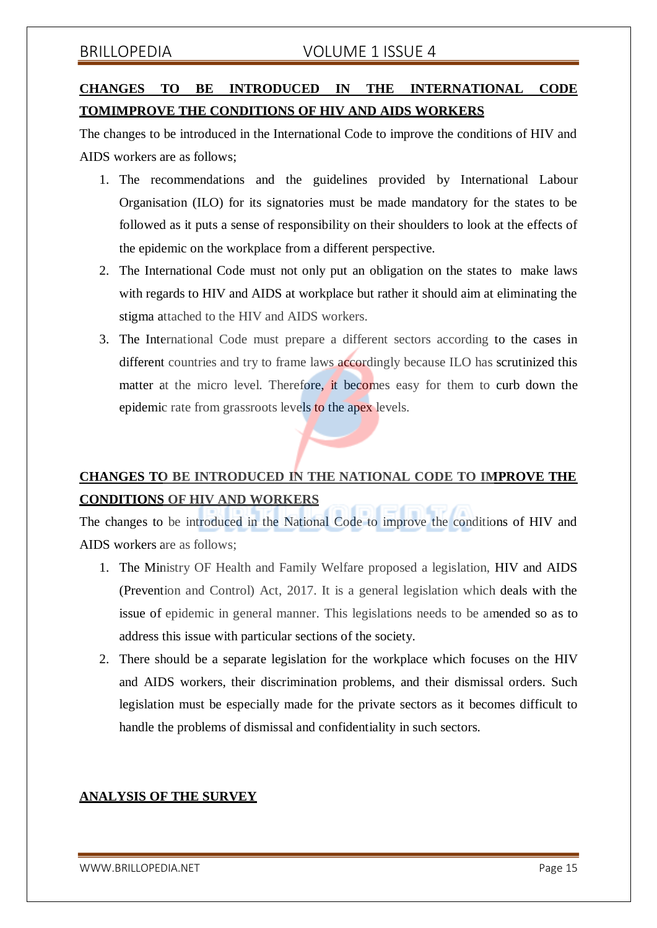# **CHANGES TO BE INTRODUCED IN THE INTERNATIONAL CODE TOMIMPROVE THE CONDITIONS OF HIV AND AIDS WORKERS**

The changes to be introduced in the International Code to improve the conditions of HIV and AIDS workers are as follows;

- 1. The recommendations and the guidelines provided by International Labour Organisation (ILO) for its signatories must be made mandatory for the states to be followed as it puts a sense of responsibility on their shoulders to look at the effects of the epidemic on the workplace from a different perspective.
- 2. The International Code must not only put an obligation on the states to make laws with regards to HIV and AIDS at workplace but rather it should aim at eliminating the stigma attached to the HIV and AIDS workers.
- 3. The International Code must prepare a different sectors according to the cases in different countries and try to frame laws accordingly because ILO has scrutinized this matter at the micro level. Therefore, it becomes easy for them to curb down the epidemic rate from grassroots levels to the apex levels.

# **CHANGES TO BE INTRODUCED IN THE NATIONAL CODE TO IMPROVE THE CONDITIONS OF HIV AND WORKERS**

The changes to be introduced in the National Code to improve the conditions of HIV and AIDS workers are as follows;

- 1. The Ministry OF Health and Family Welfare proposed a legislation, HIV and AIDS (Prevention and Control) Act, 2017. It is a general legislation which deals with the issue of epidemic in general manner. This legislations needs to be amended so as to address this issue with particular sections of the society.
- 2. There should be a separate legislation for the workplace which focuses on the HIV and AIDS workers, their discrimination problems, and their dismissal orders. Such legislation must be especially made for the private sectors as it becomes difficult to handle the problems of dismissal and confidentiality in such sectors.

# **ANALYSIS OF THE SURVEY**

[WWW.BRILLOPEDIA.NET](http://www.brillopedia.net/)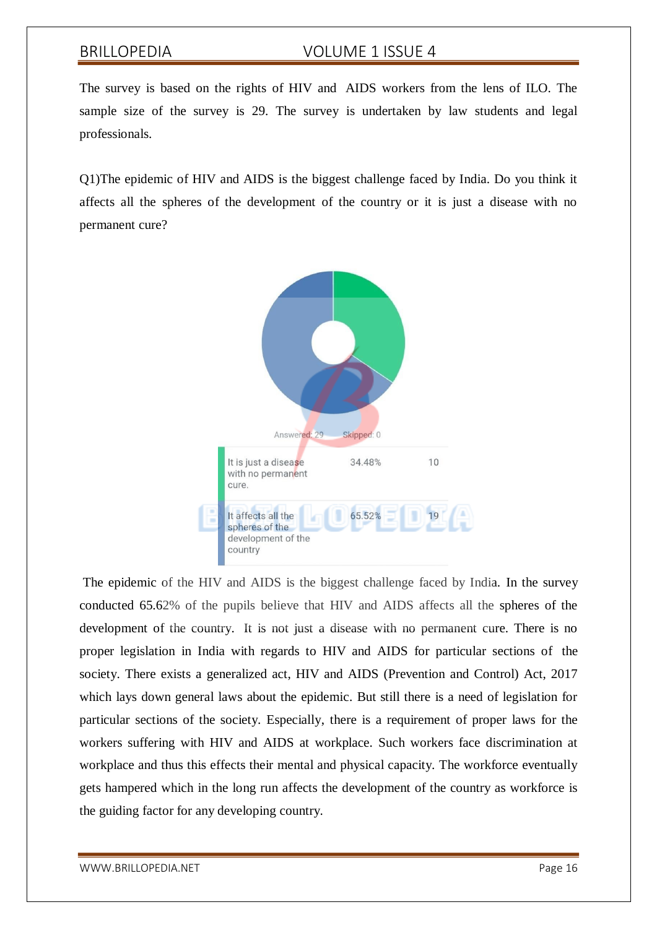The survey is based on the rights of HIV and AIDS workers from the lens of ILO. The sample size of the survey is 29. The survey is undertaken by law students and legal professionals.

Q1)The epidemic of HIV and AIDS is the biggest challenge faced by India. Do you think it affects all the spheres of the development of the country or it is just a disease with no permanent cure?



The epidemic of the HIV and AIDS is the biggest challenge faced by India. In the survey conducted 65.62% of the pupils believe that HIV and AIDS affects all the spheres of the development of the country. It is not just a disease with no permanent cure. There is no proper legislation in India with regards to HIV and AIDS for particular sections of the society. There exists a generalized act, HIV and AIDS (Prevention and Control) Act, 2017 which lays down general laws about the epidemic. But still there is a need of legislation for particular sections of the society. Especially, there is a requirement of proper laws for the workers suffering with HIV and AIDS at workplace. Such workers face discrimination at workplace and thus this effects their mental and physical capacity. The workforce eventually gets hampered which in the long run affects the development of the country as workforce is the guiding factor for any developing country.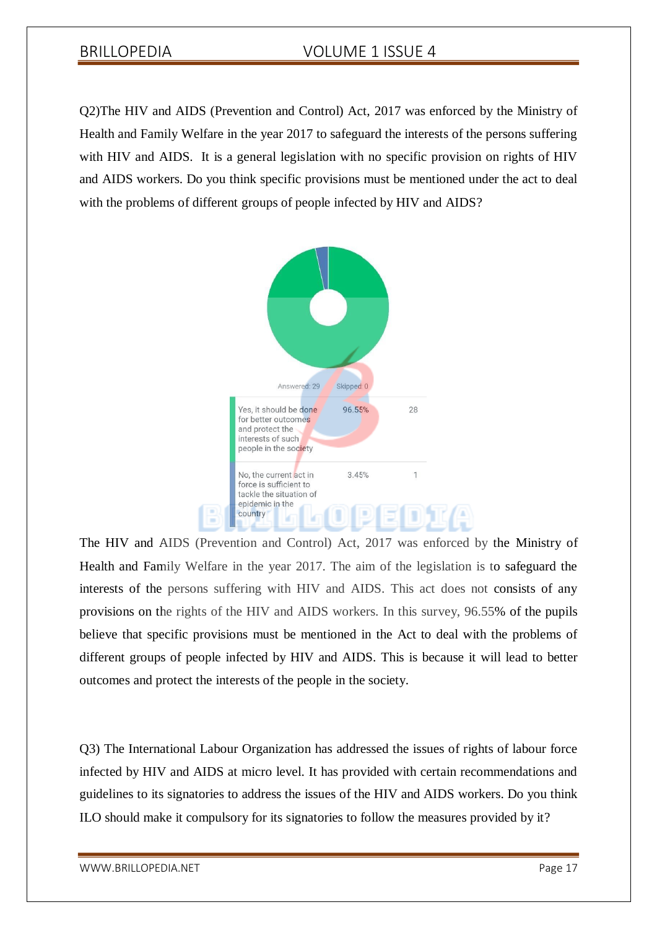Q2)The HIV and AIDS (Prevention and Control) Act, 2017 was enforced by the Ministry of Health and Family Welfare in the year 2017 to safeguard the interests of the persons suffering with HIV and AIDS. It is a general legislation with no specific provision on rights of HIV and AIDS workers. Do you think specific provisions must be mentioned under the act to deal with the problems of different groups of people infected by HIV and AIDS?



The HIV and AIDS (Prevention and Control) Act, 2017 was enforced by the Ministry of Health and Family Welfare in the year 2017. The aim of the legislation is to safeguard the interests of the persons suffering with HIV and AIDS. This act does not consists of any provisions on the rights of the HIV and AIDS workers. In this survey, 96.55% of the pupils believe that specific provisions must be mentioned in the Act to deal with the problems of different groups of people infected by HIV and AIDS. This is because it will lead to better outcomes and protect the interests of the people in the society.

Q3) The International Labour Organization has addressed the issues of rights of labour force infected by HIV and AIDS at micro level. It has provided with certain recommendations and guidelines to its signatories to address the issues of the HIV and AIDS workers. Do you think ILO should make it compulsory for its signatories to follow the measures provided by it?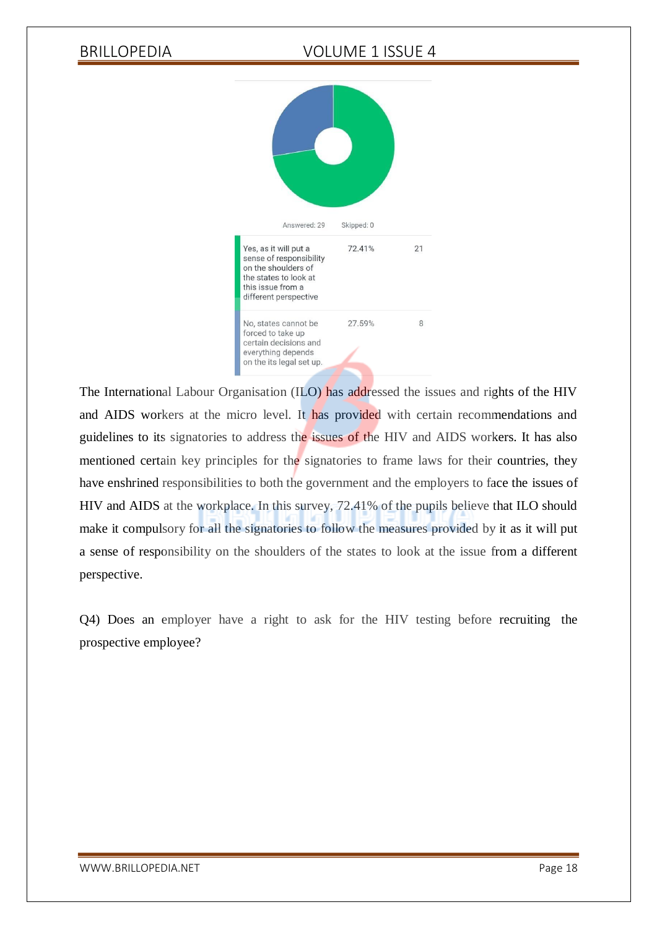

The International Labour Organisation (ILO) has addressed the issues and rights of the HIV and AIDS workers at the micro level. It has provided with certain recommendations and guidelines to its signatories to address the issues of the HIV and AIDS workers. It has also mentioned certain key principles for the signatories to frame laws for their countries, they have enshrined responsibilities to both the government and the employers to face the issues of HIV and AIDS at the workplace. In this survey, 72.41% of the pupils believe that ILO should make it compulsory for all the signatories to follow the measures provided by it as it will put a sense of responsibility on the shoulders of the states to look at the issue from a different perspective.

Q4) Does an employer have a right to ask for the HIV testing before recruiting the prospective employee?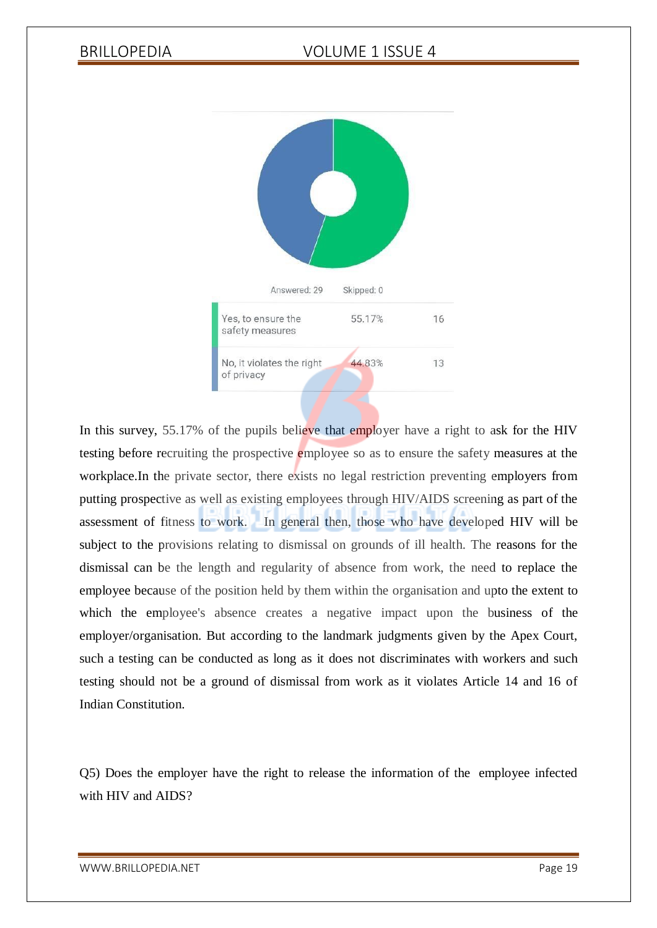

In this survey, 55.17% of the pupils believe that employer have a right to ask for the HIV testing before recruiting the prospective employee so as to ensure the safety measures at the workplace.In the private sector, there exists no legal restriction preventing employers from putting prospective as well as existing employees through HIV/AIDS screening as part of the assessment of fitness to work. In general then, those who have developed HIV will be subject to the provisions relating to dismissal on grounds of ill health. The reasons for the dismissal can be the length and regularity of absence from work, the need to replace the employee because of the position held by them within the organisation and upto the extent to which the employee's absence creates a negative impact upon the business of the employer/organisation. But according to the landmark judgments given by the Apex Court, such a testing can be conducted as long as it does not discriminates with workers and such testing should not be a ground of dismissal from work as it violates Article 14 and 16 of Indian Constitution.

Q5) Does the employer have the right to release the information of the employee infected with HIV and AIDS?

[WWW.BRILLOPEDIA.NET](http://www.brillopedia.net/) Page 19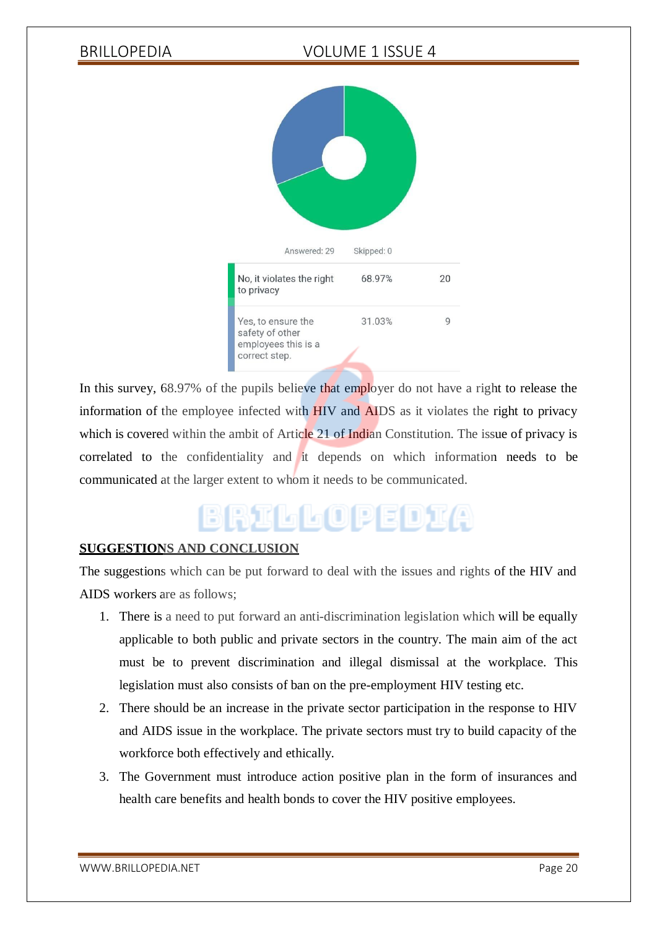

In this survey, 68.97% of the pupils believe that employer do not have a right to release the information of the employee infected with **HIV** and **AIDS** as it violates the right to privacy which is covered within the ambit of Article 21 of Indian Constitution. The issue of privacy is correlated to the confidentiality and it depends on which information needs to be communicated at the larger extent to whom it needs to be communicated.

# BRILLOPEDIA

# **SUGGESTIONS AND CONCLUSION**

The suggestions which can be put forward to deal with the issues and rights of the HIV and AIDS workers are as follows;

- 1. There is a need to put forward an anti-discrimination legislation which will be equally applicable to both public and private sectors in the country. The main aim of the act must be to prevent discrimination and illegal dismissal at the workplace. This legislation must also consists of ban on the pre-employment HIV testing etc.
- 2. There should be an increase in the private sector participation in the response to HIV and AIDS issue in the workplace. The private sectors must try to build capacity of the workforce both effectively and ethically.
- 3. The Government must introduce action positive plan in the form of insurances and health care benefits and health bonds to cover the HIV positive employees.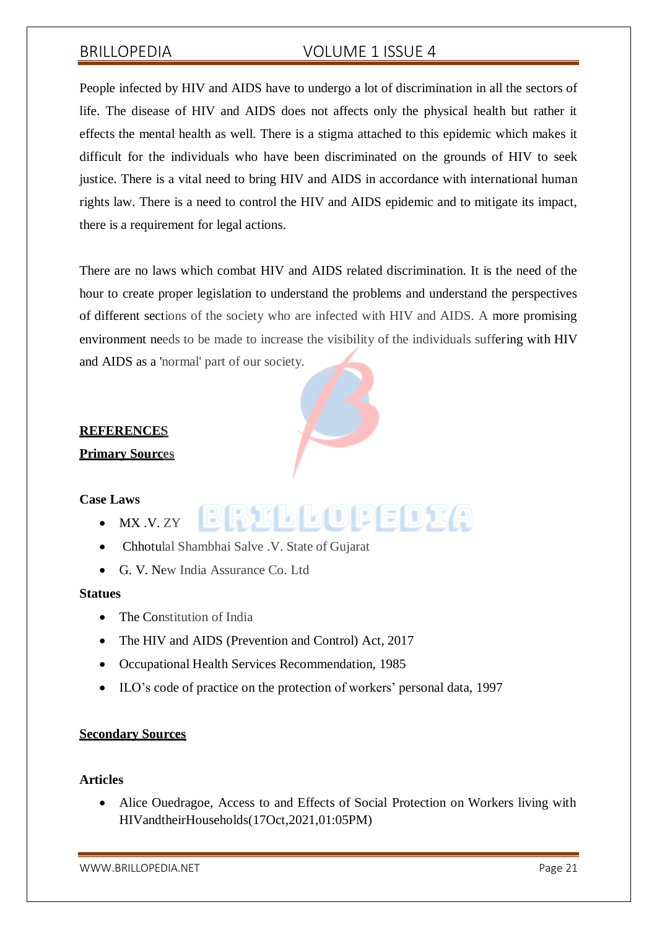People infected by HIV and AIDS have to undergo a lot of discrimination in all the sectors of life. The disease of HIV and AIDS does not affects only the physical health but rather it effects the mental health as well. There is a stigma attached to this epidemic which makes it difficult for the individuals who have been discriminated on the grounds of HIV to seek justice. There is a vital need to bring HIV and AIDS in accordance with international human rights law. There is a need to control the HIV and AIDS epidemic and to mitigate its impact, there is a requirement for legal actions.

There are no laws which combat HIV and AIDS related discrimination. It is the need of the hour to create proper legislation to understand the problems and understand the perspectives of different sections of the society who are infected with HIV and AIDS. A more promising environment needs to be made to increase the visibility of the individuals suffering with HIV and AIDS as a 'normal' part of our society.

rillopedia

# **REFERENCES**

# **Primary Sources**

### **Case Laws**

- $\bullet$  MX .V. ZY
- Chhotulal Shambhai Salve .V. State of Gujarat
- G. V. New India Assurance Co. Ltd

### **Statues**

- The Constitution of India
- The HIV and AIDS (Prevention and Control) Act, 2017
- Occupational Health Services Recommendation, 1985
- ILO's code of practice on the protection of workers' personal data, 1997

## **Secondary Sources**

## **Articles**

 Alice Ouedragoe, Access to and Effects of Social Protection on Workers living with HIVandtheirHouseholds(17Oct,2021,01:05PM)

[WWW.BRILLOPEDIA.NET](http://www.brillopedia.net/) Page 21